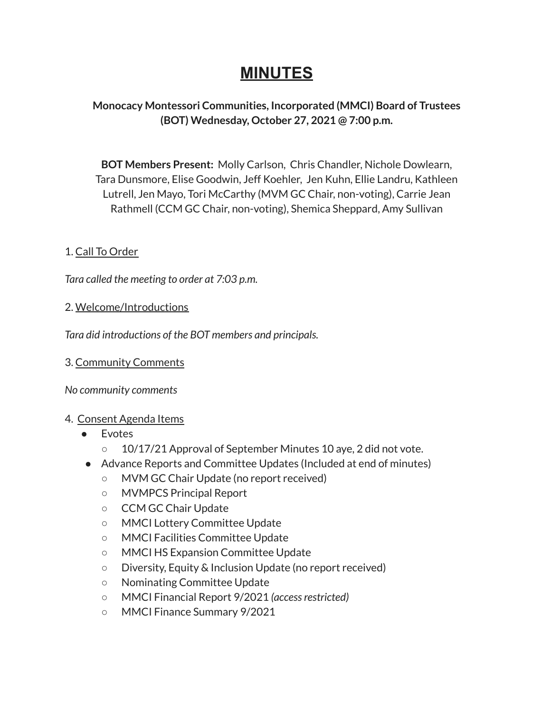# **MINUTES**

# **Monocacy Montessori Communities, Incorporated (MMCI) Board of Trustees (BOT) Wednesday, October 27, 2021 @ 7:00 p.m.**

**BOT Members Present:** Molly Carlson, Chris Chandler, Nichole Dowlearn, Tara Dunsmore, Elise Goodwin, Jeff Koehler, Jen Kuhn, Ellie Landru, Kathleen Lutrell, Jen Mayo, Tori McCarthy (MVM GC Chair, non-voting), Carrie Jean Rathmell (CCM GC Chair, non-voting), Shemica Sheppard, Amy Sullivan

# 1. Call To Order

*Tara called the meeting to order at 7:03 p.m.*

#### 2. Welcome/Introductions

*Tara did introductions of the BOT members and principals.*

#### 3. Community Comments

*No community comments*

#### 4. Consent Agenda Items

- Evotes
	- 10/17/21 Approval of September Minutes 10 aye, 2 did not vote.
- Advance Reports and Committee Updates (Included at end of minutes)
	- MVM GC Chair Update (no report received)
	- MVMPCS Principal Report
	- CCM GC Chair Update
	- MMCI Lottery Committee Update
	- MMCI Facilities Committee Update
	- MMCI HS Expansion Committee Update
	- Diversity, Equity & Inclusion Update (no report received)
	- Nominating Committee Update
	- MMCI Financial Report 9/2021 *(accessrestricted)*
	- MMCI Finance Summary 9/2021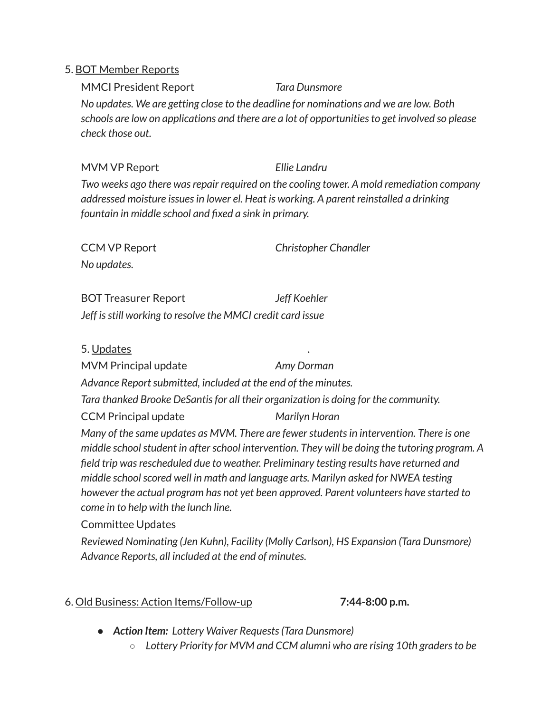#### 5. BOT Member Reports

MMCI President Report *Tara Dunsmore No updates. We are getting close to the deadline for nominations and we are low. Both schools are low on applications and there are a lot of opportunitiesto get involved so please check those out.*

MVM VP Report *Ellie Landru Two weeks ago there wasrepair required on the cooling tower. A mold remediation company addressed moisture issuesin lower el. Heat is working. A parent reinstalled a drinking fountain in middle school and fixed a sink in primary.*

CCM VP Report *Christopher Chandler No updates.*

BOT Treasurer Report *Jeff Koehler Jeff isstill working to resolve the MMCI credit card issue*

5. Updates .

MVM Principal update *Amy Dorman*

*Advance Reportsubmitted, included at the end of the minutes.*

*Tara thanked Brooke DeSantisfor all their organization is doing for the community.*

CCM Principal update *Marilyn Horan*

*Many of the same updates as MVM. There are fewerstudentsin intervention. There is one middle schoolstudent in afterschool intervention. They will be doing the tutoring program. A field trip wasrescheduled due to weather. Preliminary testing results have returned and middle schoolscored well in math and language arts. Marilyn asked for NWEA testing however the actual program has not yet been approved. Parent volunteers have started to come in to help with the lunch line.*

Committee Updates

*Reviewed Nominating (Jen Kuhn), Facility (Molly Carlson), HS Expansion (Tara Dunsmore) Advance Reports, all included at the end of minutes.*

# 6. Old Business: Action Items/Follow-up **7:44-8:00 p.m.**

- *● Action Item: Lottery Waiver Requests(Tara Dunsmore)*
	- *Lottery Priority for MVM and CCM alumni who are rising 10th gradersto be*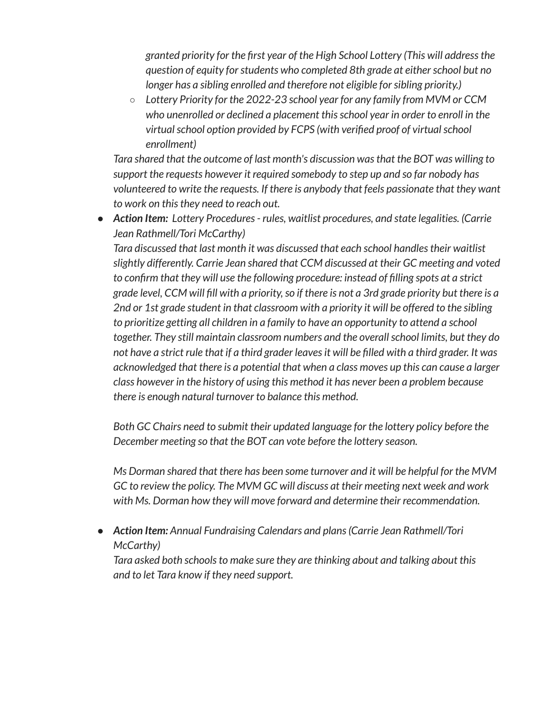*granted priority for the first year of the High School Lottery (This will addressthe question of equity forstudents who completed 8th grade at eitherschool but no longer has a sibling enrolled and therefore not eligible forsibling priority.)*

○ *Lottery Priority for the 2022-23 school year for any family from MVM or CCM who unenrolled or declined a placement thisschool year in order to enroll in the virtualschool option provided by FCPS (with verified proof of virtualschool enrollment)*

*Tara shared that the outcome of last month's discussion wasthat the BOT was willing to support the requests however it required somebody to step up and so far nobody has volunteered to write the requests. If there is anybody that feels passionate that they want to work on thisthey need to reach out.*

*● Action Item: Lottery Procedures- rules, waitlist procedures, and state legalities. (Carrie Jean Rathmell/Tori McCarthy)*

*Tara discussed that last month it was discussed that each school handlestheir waitlist slightly differently. Carrie Jean shared that CCM discussed at their GC meeting and voted to confirm that they will use the following procedure: instead of filling spots at a strict* grade level, CCM will fill with a priority, so if there is not a 3rd grade priority but there is a *2nd or 1st grade student in that classroom with a priority it will be offered to the sibling to prioritize getting all children in a family to have an opportunity to attend a school together. They still maintain classroom numbers and the overallschool limits, but they do* not have a strict rule that if a third grader leaves it will be filled with a third grader. It was *acknowledged that there is a potential that when a class moves up this can cause a larger class however in the history of using this method it has never been a problem because there is enough natural turnover to balance this method.*

*Both GC Chairs need to submit their updated language for the lottery policy before the December meeting so that the BOT can vote before the lottery season.*

*Ms Dorman shared that there has been some turnover and it will be helpful for the MVM GC to review the policy. The MVM GC will discuss at their meeting next week and work with Ms. Dorman how they will move forward and determine their recommendation.*

*● Action Item: Annual Fundraising Calendars and plans(Carrie Jean Rathmell/Tori McCarthy)*

*Tara asked both schoolsto make sure they are thinking about and talking about this and to let Tara know if they need support.*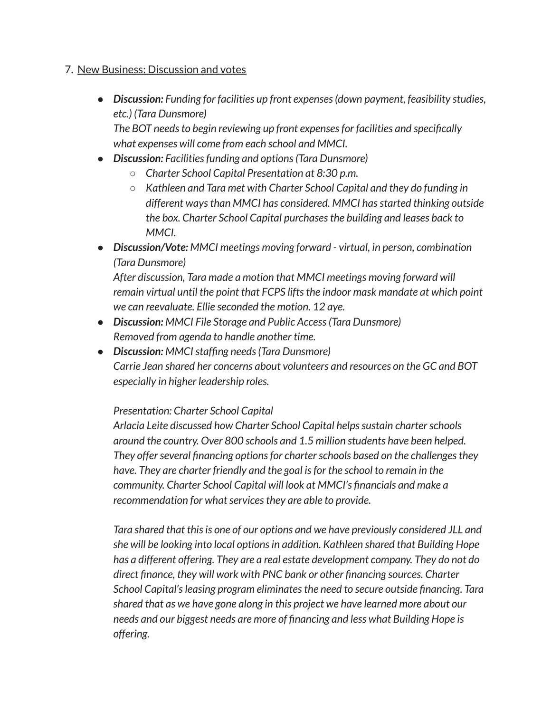#### 7. New Business: Discussion and votes

*● Discussion: Funding for facilities up front expenses(down payment, feasibility studies, etc.) (Tara Dunsmore)*

*The BOT needsto begin reviewing up front expensesfor facilities and specifically what expenses will come from each school and MMCI.*

- *● Discussion: Facilitiesfunding and options(Tara Dunsmore)*
	- *○ Charter School Capital Presentation at 8:30 p.m.*
	- *○ Kathleen and Tara met with Charter School Capital and they do funding in different waysthan MMCI has considered. MMCI hasstarted thinking outside the box. Charter School Capital purchasesthe building and leases back to MMCI.*
- *● Discussion/Vote: MMCI meetings moving forward - virtual, in person, combination (Tara Dunsmore)*

*After discussion, Tara made a motion that MMCI meetings moving forward will remain virtual until the point that FCPS liftsthe indoor mask mandate at which point we can reevaluate. Ellie seconded the motion. 12 aye.*

- *● Discussion: MMCI File Storage and Public Access(Tara Dunsmore) Removed from agenda to handle another time.*
- *● Discussion: MMCIstaffing needs(Tara Dunsmore) Carrie Jean shared her concerns about volunteers and resources on the GC and BOT especially in higher leadership roles.*

#### *Presentation: Charter School Capital*

*Arlacia Leite discussed how Charter School Capital helpssustain charterschools around the country. Over 800 schools and 1.5 million students have been helped. They offerseveral financing optionsfor charterschools based on the challengesthey have. They are charter friendly and the goal isfor the school to remain in the community. Charter School Capital will look at MMCI's financials and make a recommendation* for *what* services they are able to provide.

*Tara shared that thisis one of our options and we have previously considered JLL and she will be looking into local optionsin addition. Kathleen shared that Building Hope has a different offering. They are a real estate development company. They do not do direct finance, they will work with PNC bank or other financing sources. Charter School Capital'sleasing program eliminatesthe need to secure outside financing. Tara shared that as we have gone along in this project we have learned more about our needs and our biggest needs are more of financing and less what Building Hope is offering.*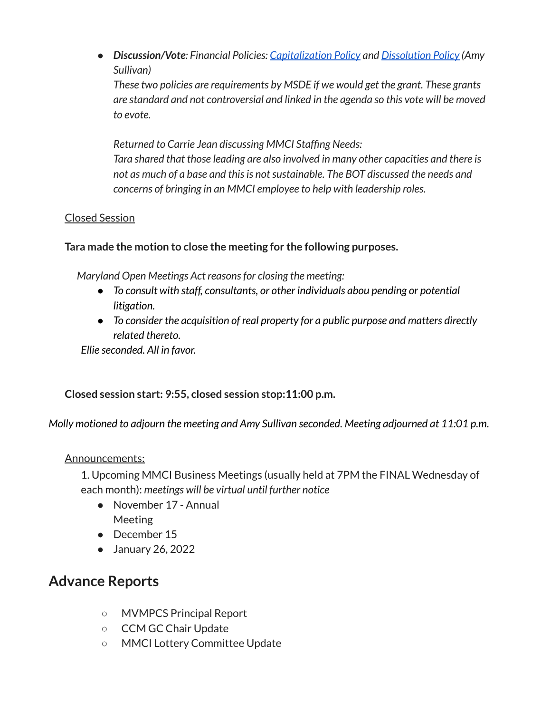*● Discussion/Vote: Financial Policies: [Capitalization](https://drive.google.com/file/d/1BrAJGuVNMdroJENv7qajH8PDuHx5mhqQ/view?usp=sharing) Policy and [Dissolution](https://drive.google.com/file/d/1I_PPuGnVdgrKHM9KIgHkyQMQbPjeStmk/view?usp=sharing) Policy (Amy Sullivan)*

*These two policies are requirements by MSDE if we would get the grant. These grants are standard and not controversial and linked in the agenda so this vote will be moved to evote.*

*Returned to Carrie Jean discussing MMCI Staffing Needs: Tara shared that those leading are also involved in many other capacities and there is not as much of a base and thisis notsustainable. The BOT discussed the needs and concerns of bringing in an MMCI employee to help with leadership roles.*

# Closed Session

# **Tara made the motion to close the meeting for the following purposes.**

*Maryland Open Meetings Act reasonsfor closing the meeting:*

- *● To consult with staff, consultants, or other individuals abou pending or potential litigation.*
- *● To consider the acquisition of real property for a public purpose and matters directly related thereto.*

*Ellie seconded. All in favor.*

#### **Closed session start: 9:55, closed session stop:11:00 p.m.**

*Molly motioned to adjourn the meeting and Amy Sullivan seconded. Meeting adjourned at 11:01 p.m.*

#### Announcements:

1. Upcoming MMCI Business Meetings (usually held at 7PM the FINAL Wednesday of each month): *meetings will be virtual until further notice*

- November 17 Annual Meeting
- December 15
- January 26, 2022

# **Advance Reports**

- MVMPCS Principal Report
- CCM GC Chair Update
- MMCI Lottery Committee Update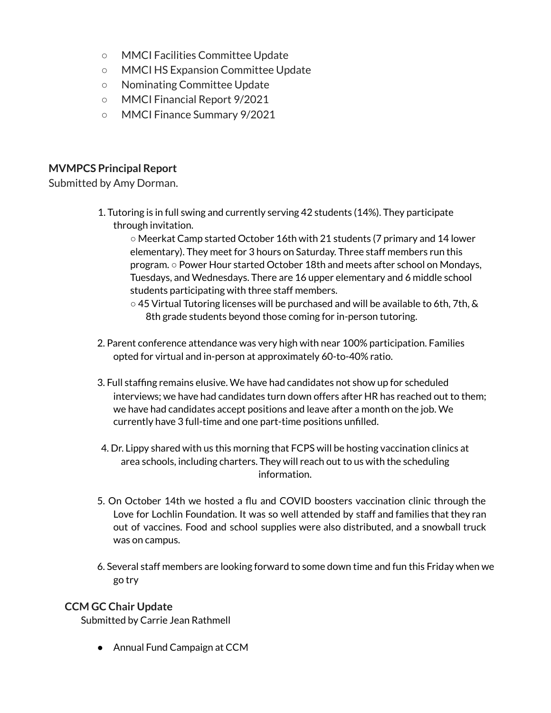- MMCI Facilities Committee Update
- MMCI HS Expansion Committee Update
- Nominating Committee Update
- MMCI Financial Report 9/2021
- MMCI Finance Summary 9/2021

# **MVMPCS Principal Report**

Submitted by Amy Dorman.

1. Tutoring is in full swing and currently serving 42 students (14%). They participate through invitation.

○ Meerkat Camp started October 16th with 21 students (7 primary and 14 lower elementary). They meet for 3 hours on Saturday. Three staff members run this program. ○ Power Hour started October 18th and meets after school on Mondays, Tuesdays, and Wednesdays. There are 16 upper elementary and 6 middle school students participating with three staff members.

- $\circ$  45 Virtual Tutoring licenses will be purchased and will be available to 6th, 7th, & 8th grade students beyond those coming for in-person tutoring.
- 2. Parent conference attendance was very high with near 100% participation. Families opted for virtual and in-person at approximately 60-to-40% ratio.
- 3. Full staffing remains elusive. We have had candidates not show up for scheduled interviews; we have had candidates turn down offers after HR has reached out to them; we have had candidates accept positions and leave after a month on the job. We currently have 3 full-time and one part-time positions unfilled.
- 4. Dr. Lippy shared with us this morning that FCPS will be hosting vaccination clinics at area schools, including charters. They will reach out to us with the scheduling information.
- 5. On October 14th we hosted a flu and COVID boosters vaccination clinic through the Love for Lochlin Foundation. It was so well attended by staff and families that they ran out of vaccines. Food and school supplies were also distributed, and a snowball truck was on campus.
- 6. Several staff members are looking forward to some down time and fun this Friday when we go try

#### **CCM GC Chair Update**

Submitted by Carrie Jean Rathmell

● Annual Fund Campaign at CCM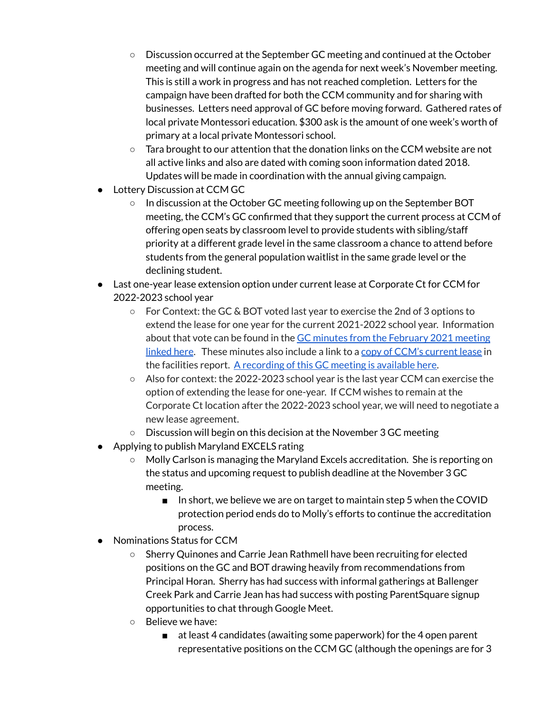- Discussion occurred at the September GC meeting and continued at the October meeting and will continue again on the agenda for next week's November meeting. This is still a work in progress and has not reached completion. Letters for the campaign have been drafted for both the CCM community and for sharing with businesses. Letters need approval of GC before moving forward. Gathered rates of local private Montessori education. \$300 ask is the amount of one week's worth of primary at a local private Montessori school.
- $\circ$  Tara brought to our attention that the donation links on the CCM website are not all active links and also are dated with coming soon information dated 2018. Updates will be made in coordination with the annual giving campaign.
- Lottery Discussion at CCM GC
	- o In discussion at the October GC meeting following up on the September BOT meeting, the CCM's GC confirmed that they support the current process at CCM of offering open seats by classroom level to provide students with sibling/staff priority at a different grade level in the same classroom a chance to attend before students from the general population waitlist in the same grade level or the declining student.
- Last one-year lease extension option under current lease at Corporate Ct for CCM for 2022-2023 school year
	- For Context: the GC & BOT voted last year to exercise the 2nd of 3 options to extend the lease for one year for the current 2021-2022 school year. Information about that vote can be found in the GC minutes from the [February](https://docs.google.com/document/d/1JDR-z_KnhnT7tMNLHJlFDx2zZR7et1SsshnwdN9PZ58/edit#) 2021 meeting [linked](https://docs.google.com/document/d/1JDR-z_KnhnT7tMNLHJlFDx2zZR7et1SsshnwdN9PZ58/edit#) here. These minutes also include a link to a copy of CCM's [current](https://drive.google.com/file/d/1OKbIiR-RyXVFGBECcoVqHuUk3NiR1gbN/view?usp=sharing) lease in the facilities report. A [recording](https://drive.google.com/file/d/1Dg5Nm-DPKTKSMv-dXfBgu0lOKGtAXoM-/view?usp=sharing) of this GC meeting is available here.
	- Also for context: the 2022-2023 school year is the last year CCM can exercise the option of extending the lease for one-year. If CCM wishes to remain at the Corporate Ct location after the 2022-2023 school year, we will need to negotiate a new lease agreement.
	- Discussion will begin on this decision at the November 3 GC meeting
- Applying to publish Maryland EXCELS rating
	- Molly Carlson is managing the Maryland Excels accreditation. She is reporting on the status and upcoming request to publish deadline at the November 3 GC meeting.
		- In short, we believe we are on target to maintain step 5 when the COVID protection period ends do to Molly's efforts to continue the accreditation process.
- Nominations Status for CCM
	- Sherry Quinones and Carrie Jean Rathmell have been recruiting for elected positions on the GC and BOT drawing heavily from recommendations from Principal Horan. Sherry has had success with informal gatherings at Ballenger Creek Park and Carrie Jean has had success with posting ParentSquare signup opportunities to chat through Google Meet.
	- Believe we have:
		- at least 4 candidates (awaiting some paperwork) for the 4 open parent representative positions on the CCM GC (although the openings are for 3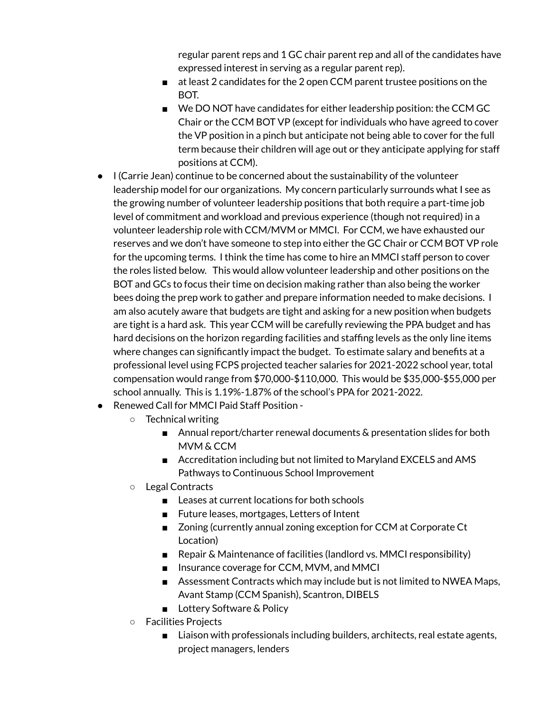regular parent reps and 1 GC chair parent rep and all of the candidates have expressed interest in serving as a regular parent rep).

- at least 2 candidates for the 2 open CCM parent trustee positions on the BOT.
- We DO NOT have candidates for either leadership position: the CCM GC Chair or the CCM BOT VP (except for individuals who have agreed to cover the VP position in a pinch but anticipate not being able to cover for the full term because their children will age out or they anticipate applying for staff positions at CCM).
- I (Carrie Jean) continue to be concerned about the sustainability of the volunteer leadership model for our organizations. My concern particularly surrounds what I see as the growing number of volunteer leadership positions that both require a part-time job level of commitment and workload and previous experience (though not required) in a volunteer leadership role with CCM/MVM or MMCI. For CCM, we have exhausted our reserves and we don't have someone to step into either the GC Chair or CCM BOT VP role for the upcoming terms. I think the time has come to hire an MMCI staff person to cover the roles listed below. This would allow volunteer leadership and other positions on the BOT and GCs to focus their time on decision making rather than also being the worker bees doing the prep work to gather and prepare information needed to make decisions. I am also acutely aware that budgets are tight and asking for a new position when budgets are tight is a hard ask. This year CCM will be carefully reviewing the PPA budget and has hard decisions on the horizon regarding facilities and staffing levels as the only line items where changes can significantly impact the budget. To estimate salary and benefits at a professional level using FCPS projected teacher salaries for 2021-2022 school year, total compensation would range from \$70,000-\$110,000. This would be \$35,000-\$55,000 per school annually. This is 1.19%-1.87% of the school's PPA for 2021-2022.
- Renewed Call for MMCI Paid Staff Position
	- Technical writing
		- Annual report/charter renewal documents & presentation slides for both MVM & CCM
		- Accreditation including but not limited to Maryland EXCELS and AMS Pathways to Continuous School Improvement
	- Legal Contracts
		- Leases at current locations for both schools
		- Future leases, mortgages, Letters of Intent
		- Zoning (currently annual zoning exception for CCM at Corporate Ct Location)
		- Repair & Maintenance of facilities (landlord vs. MMCI responsibility)
		- Insurance coverage for CCM, MVM, and MMCI
		- Assessment Contracts which may include but is not limited to NWEA Maps, Avant Stamp (CCM Spanish), Scantron, DIBELS
		- Lottery Software & Policy
	- Facilities Projects
		- Liaison with professionals including builders, architects, real estate agents, project managers, lenders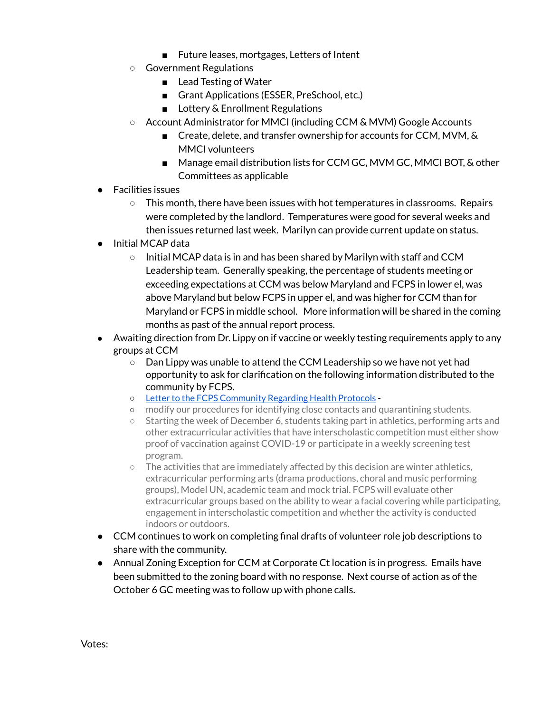- Future leases, mortgages, Letters of Intent
- Government Regulations
	- Lead Testing of Water
	- Grant Applications (ESSER, PreSchool, etc.)
	- Lottery & Enrollment Regulations
- Account Administrator for MMCI (including CCM & MVM) Google Accounts
	- Create, delete, and transfer ownership for accounts for CCM, MVM, & MMCI volunteers
	- Manage email distribution lists for CCM GC, MVM GC, MMCI BOT, & other Committees as applicable
- Facilities issues
	- This month, there have been issues with hot temperatures in classrooms. Repairs were completed by the landlord. Temperatures were good for several weeks and then issues returned last week. Marilyn can provide current update on status.
- Initial MCAP data
	- Initial MCAP data is in and has been shared by Marilyn with staff and CCM Leadership team. Generally speaking, the percentage of students meeting or exceeding expectations at CCM was below Maryland and FCPS in lower el, was above Maryland but below FCPS in upper el, and was higher for CCM than for Maryland or FCPS in middle school. More information will be shared in the coming months as past of the annual report process.
- Awaiting direction from Dr. Lippy on if vaccine or weekly testing requirements apply to any groups at CCM
	- Dan Lippy was unable to attend the CCM Leadership so we have not yet had opportunity to ask for clarification on the following information distributed to the community by FCPS.
	- Letter to the FCPS [Community](https://fcps.ezcommunicator.net/edu/frederick/preview_message.aspx?app=0&id=105963&type=notice&source=ViewNews#googtrans(en)) Regarding Health Protocols -
	- modify our procedures for identifying close contacts and quarantining students.
	- Starting the week of December 6, students taking part in athletics, performing arts and other extracurricular activities that have interscholastic competition must either show proof of vaccination against COVID-19 or participate in a weekly screening test program.
	- $\circ$  The activities that are immediately affected by this decision are winter athletics, extracurricular performing arts (drama productions, choral and music performing groups), Model UN, academic team and mock trial. FCPS will evaluate other extracurricular groups based on the ability to wear a facial covering while participating, engagement in interscholastic competition and whether the activity is conducted indoors or outdoors.
- CCM continues to work on completing final drafts of volunteer role job descriptions to share with the community.
- Annual Zoning Exception for CCM at Corporate Ct location is in progress. Emails have been submitted to the zoning board with no response. Next course of action as of the October 6 GC meeting was to follow up with phone calls.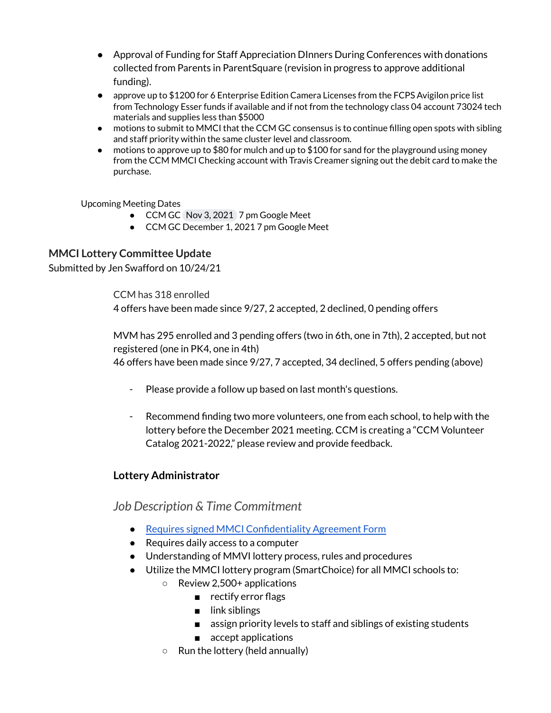- Approval of Funding for Staff Appreciation DInners During Conferences with donations collected from Parents in ParentSquare (revision in progress to approve additional funding).
- approve up to \$1200 for 6 Enterprise Edition Camera Licenses from the FCPS Avigilon price list from Technology Esser funds if available and if not from the technology class 04 account 73024 tech materials and supplies less than \$5000
- motions to submit to MMCI that the CCM GC consensus is to continue filling open spots with sibling and staff priority within the same cluster level and classroom.
- $\bullet$  motions to approve up to \$80 for mulch and up to \$100 for sand for the playground using money from the CCM MMCI Checking account with Travis Creamer signing out the debit card to make the purchase.

Upcoming Meeting Dates

- CCM GC Nov 3, 2021 7 pm Google Meet
- CCM GC December 1, 2021 7 pm Google Meet

#### **MMCI Lottery Committee Update**

Submitted by Jen Swafford on 10/24/21

CCM has 318 enrolled 4 offers have been made since 9/27, 2 accepted, 2 declined, 0 pending offers

MVM has 295 enrolled and 3 pending offers (two in 6th, one in 7th), 2 accepted, but not registered (one in PK4, one in 4th) 46 offers have been made since 9/27, 7 accepted, 34 declined, 5 offers pending (above)

- Please provide a follow up based on last month's questions.
- Recommend finding two more volunteers, one from each school, to help with the lottery before the December 2021 meeting. CCM is creating a "CCM Volunteer Catalog 2021-2022," please review and provide feedback.

#### **Lottery Administrator**

*Job Description & Time Commitment*

- Requires signed MMCI [Confidentiality](https://drive.google.com/file/d/1QKbDEmkBGwed6St7wRvMd5-W_1eSlWxZ/view) Agreement Form
- Requires daily access to a computer
- Understanding of MMVI lottery process, rules and procedures
- Utilize the MMCI lottery program (SmartChoice) for all MMCI schools to:
	- Review 2,500+ applications
		- rectify error flags
		- link siblings
		- assign priority levels to staff and siblings of existing students
		- accept applications
	- $\circ$  Run the lottery (held annually)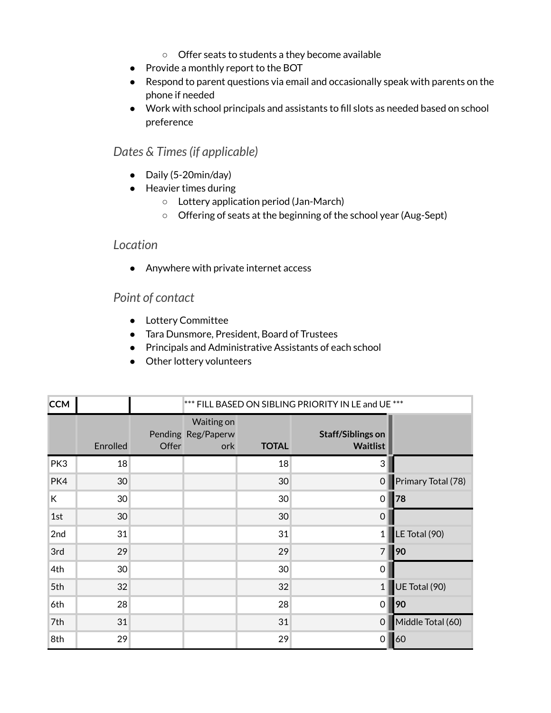- Offer seats to students a they become available
- Provide a monthly report to the BOT
- Respond to parent questions via email and occasionally speak with parents on the phone if needed
- Work with school principals and assistants to fill slots as needed based on school preference

# *Dates & Times(if applicable)*

- Daily (5-20min/day)
- Heavier times during
	- Lottery application period (Jan-March)
	- Offering of seats at the beginning of the school year (Aug-Sept)

#### *Location*

● Anywhere with private internet access

# *Point of contact*

- Lottery Committee
- Tara Dunsmore, President, Board of Trustees
- Principals and Administrative Assistants of each school
- Other lottery volunteers

| <b>CCM</b> |                 |       | *** FILL BASED ON SIBLING PRIORITY IN LE and UE *** |              |                                             |                    |
|------------|-----------------|-------|-----------------------------------------------------|--------------|---------------------------------------------|--------------------|
|            | Enrolled        | Offer | Waiting on<br>Pending Reg/Paperw<br>ork             | <b>TOTAL</b> | <b>Staff/Siblings on</b><br><b>Waitlist</b> |                    |
| PK3        | 18              |       |                                                     | 18           | 3                                           |                    |
| PK4        | 30              |       |                                                     | 30           | $\boldsymbol{0}$                            | Primary Total (78) |
| К          | 30 <sup>°</sup> |       |                                                     | 30           | $\mathbf 0$                                 | 78                 |
| 1st        | 30              |       |                                                     | 30           | 0                                           |                    |
| 2nd        | 31              |       |                                                     | 31           | $\mathbf{1}$                                | LE Total (90)      |
| 3rd        | 29              |       |                                                     | 29           | $\overline{7}$                              | 90                 |
| 4th        | 30              |       |                                                     | 30           | 0                                           |                    |
| 5th        | 32              |       |                                                     | 32           | 1                                           | UE Total (90)      |
| 6th        | 28              |       |                                                     | 28           | 0                                           | 90                 |
| 7th        | 31              |       |                                                     | 31           | $\mathbf 0$                                 | Middle Total (60)  |
| 8th        | 29              |       |                                                     | 29           | 0                                           | 60                 |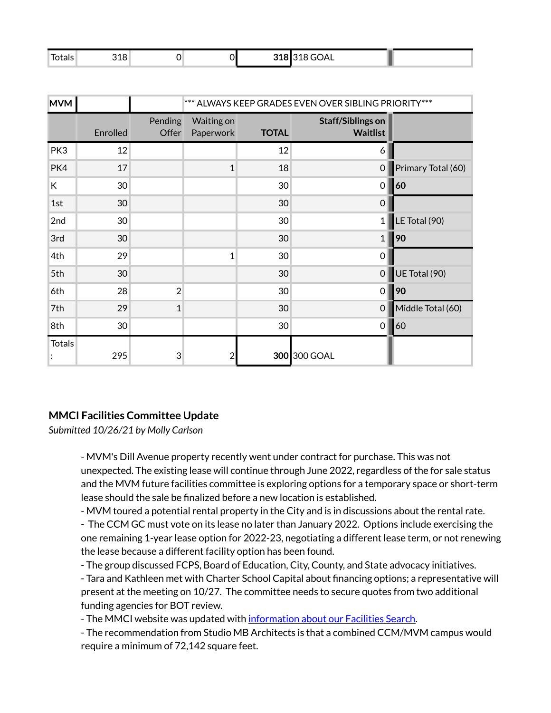| . –<br>Iotals | 318 | $\ddot{\phantom{0}}$ | 318 318 GOAL |  |
|---------------|-----|----------------------|--------------|--|
|               |     |                      |              |  |

| <b>MVM</b>    |                 | *** ALWAYS KEEP GRADES EVEN OVER SIBLING PRIORITY*** |                         |              |                                             |                    |
|---------------|-----------------|------------------------------------------------------|-------------------------|--------------|---------------------------------------------|--------------------|
|               | Enrolled        | Pending<br>Offer                                     | Waiting on<br>Paperwork | <b>TOTAL</b> | <b>Staff/Siblings on</b><br><b>Waitlist</b> |                    |
| PK3           | 12              |                                                      |                         | 12           | 6                                           |                    |
| PK4           | 17              |                                                      | $\mathbf{1}$            | 18           | $\mathbf 0$                                 | Primary Total (60) |
| К             | 30              |                                                      |                         | 30           | 0                                           | 60                 |
| 1st           | 30              |                                                      |                         | 30           | $\mathbf 0$                                 |                    |
| 2nd           | 30              |                                                      |                         | 30           | $\mathbf{1}$                                | LE Total (90)      |
| 3rd           | 30              |                                                      |                         | 30           | $\mathbf{1}$                                | 90                 |
| 4th           | 29              |                                                      | $\mathbf{1}$            | 30           | 0                                           |                    |
| 5th           | 30              |                                                      |                         | 30           | 0                                           | UE Total (90)      |
| 6th           | 28              | $\overline{2}$                                       |                         | 30           | 0                                           | 90                 |
| 7th           | 29              | $\mathbf{1}$                                         |                         | 30           | $\mathbf 0$                                 | Middle Total (60)  |
| 8th           | 30 <sup>°</sup> |                                                      |                         | 30           | $\mathbf 0$                                 | 60                 |
| <b>Totals</b> | 295             | 3                                                    | $\overline{2}$          |              | 300 300 GOAL                                |                    |

#### **MMCI Facilities Committee Update**

*Submitted 10/26/21 by Molly Carlson*

- MVM's Dill Avenue property recently went under contract for purchase. This was not unexpected. The existing lease will continue through June 2022, regardless of the for sale status and the MVM future facilities committee is exploring options for a temporary space or short-term lease should the sale be finalized before a new location is established.

- MVM toured a potential rental property in the City and is in discussions about the rental rate.

- The CCM GC must vote on its lease no later than January 2022. Options include exercising the one remaining 1-year lease option for 2022-23, negotiating a different lease term, or not renewing the lease because a different facility option has been found.

- The group discussed FCPS, Board of Education, City, County, and State advocacy initiatives.

- Tara and Kathleen met with Charter School Capital about financing options; a representative will present at the meeting on 10/27. The committee needs to secure quotes from two additional funding agencies for BOT review.

- The MMCI website was updated with [information](https://mmcimd.org/facilities-search/) about our Facilities Search.

- The recommendation from Studio MB Architects is that a combined CCM/MVM campus would require a minimum of 72,142 square feet.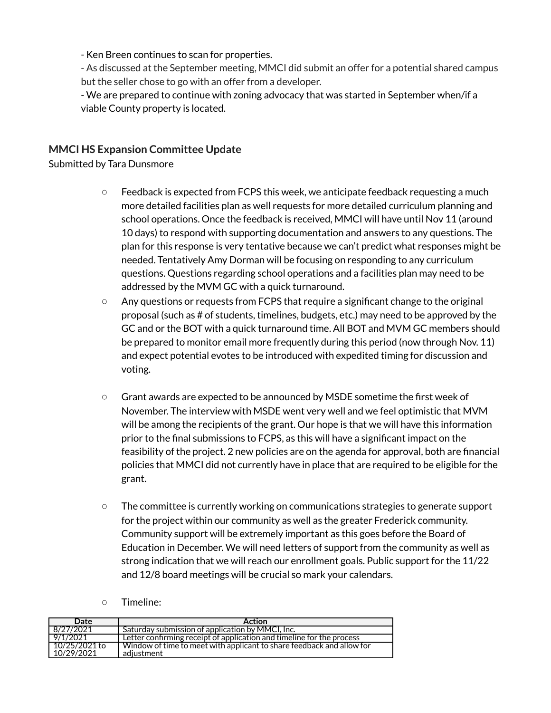- Ken Breen continues to scan for properties.

- As discussed at the September meeting, MMCI did submit an offer for a potential shared campus but the seller chose to go with an offer from a developer.

- We are prepared to continue with zoning advocacy that was started in September when/if a viable County property is located.

#### **MMCI HS Expansion Committee Update**

Submitted by Tara Dunsmore

- Feedback is expected from FCPS this week, we anticipate feedback requesting a much more detailed facilities plan as well requests for more detailed curriculum planning and school operations. Once the feedback is received, MMCI will have until Nov 11 (around 10 days) to respond with supporting documentation and answers to any questions. The plan for this response is very tentative because we can't predict what responses might be needed. Tentatively Amy Dorman will be focusing on responding to any curriculum questions. Questions regarding school operations and a facilities plan may need to be addressed by the MVM GC with a quick turnaround.
- Any questions or requests from FCPS that require a significant change to the original proposal (such as # of students, timelines, budgets, etc.) may need to be approved by the GC and or the BOT with a quick turnaround time. All BOT and MVM GC members should be prepared to monitor email more frequently during this period (now through Nov. 11) and expect potential evotes to be introduced with expedited timing for discussion and voting.
- Grant awards are expected to be announced by MSDE sometime the first week of November. The interview with MSDE went very well and we feel optimistic that MVM will be among the recipients of the grant. Our hope is that we will have this information prior to the final submissions to FCPS, as this will have a significant impact on the feasibility of the project. 2 new policies are on the agenda for approval, both are financial policies that MMCI did not currently have in place that are required to be eligible for the grant.
- The committee is currently working on communications strategies to generate support for the project within our community as well as the greater Frederick community. Community support will be extremely important as this goes before the Board of Education in December. We will need letters of support from the community as well as strong indication that we will reach our enrollment goals. Public support for the 11/22 and 12/8 board meetings will be crucial so mark your calendars.
- Timeline:

| Date                        | <b>Action</b>                                                                       |
|-----------------------------|-------------------------------------------------------------------------------------|
| 8/27/2021                   | Saturday submission of application by MMCI, Inc.                                    |
| 9/1/2021                    | Letter confirming receipt of application and timeline for the process               |
| 10/25/2021 to<br>10/29/2021 | Window of time to meet with applicant to share feedback and allow for<br>adiustment |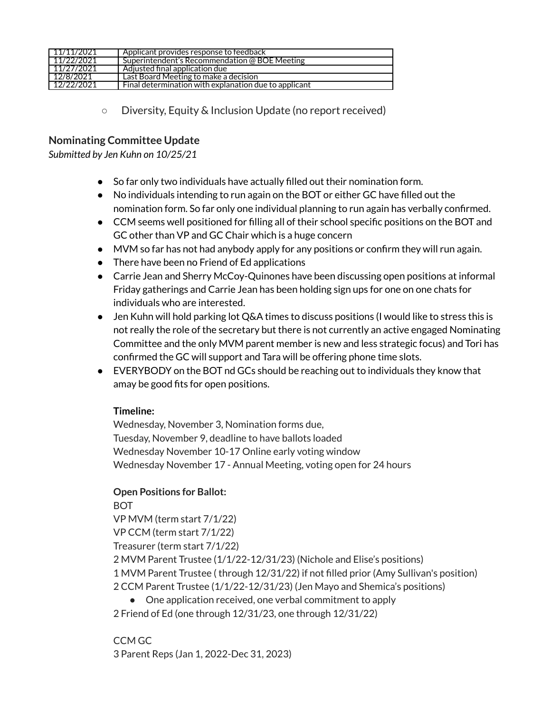| 11/11/2021 | Applicant provides response to feedback               |
|------------|-------------------------------------------------------|
| 11/22/2021 | Superintendent's Recommendation @ BOE Meeting         |
| 11/27/2021 | Adjusted final application due                        |
| 12/8/2021  | Last Board Meeting to make a decision                 |
| 12/22/2021 | Final determination with explanation due to applicant |

○ Diversity, Equity & Inclusion Update (no report received)

#### **Nominating Committee Update**

*Submitted by Jen Kuhn on 10/25/21*

- So far only two individuals have actually filled out their nomination form.
- No individuals intending to run again on the BOT or either GC have filled out the nomination form. So far only one individual planning to run again has verbally confirmed.
- CCM seems well positioned for filling all of their school specific positions on the BOT and GC other than VP and GC Chair which is a huge concern
- MVM so far has not had anybody apply for any positions or confirm they will run again.
- There have been no Friend of Ed applications
- Carrie Jean and Sherry McCoy-Quinones have been discussing open positions at informal Friday gatherings and Carrie Jean has been holding sign ups for one on one chats for individuals who are interested.
- Jen Kuhn will hold parking lot Q&A times to discuss positions (I would like to stress this is not really the role of the secretary but there is not currently an active engaged Nominating Committee and the only MVM parent member is new and less strategic focus) and Tori has confirmed the GC will support and Tara will be offering phone time slots.
- EVERYBODY on the BOT nd GCs should be reaching out to individuals they know that amay be good fits for open positions.

#### **Timeline:**

Wednesday, November 3, Nomination forms due, Tuesday, November 9, deadline to have ballots loaded Wednesday November 10-17 Online early voting window Wednesday November 17 - Annual Meeting, voting open for 24 hours

#### **Open Positions for Ballot:**

BOT VP MVM (term start 7/1/22) VP CCM (term start 7/1/22) Treasurer (term start 7/1/22) 2 MVM Parent Trustee (1/1/22-12/31/23) (Nichole and Elise's positions) 1 MVM Parent Trustee ( through 12/31/22) if not filled prior (Amy Sullivan's position) 2 CCM Parent Trustee (1/1/22-12/31/23) (Jen Mayo and Shemica's positions)

● One application received, one verbal commitment to apply 2 Friend of Ed (one through 12/31/23, one through 12/31/22)

CCM GC 3 Parent Reps (Jan 1, 2022-Dec 31, 2023)